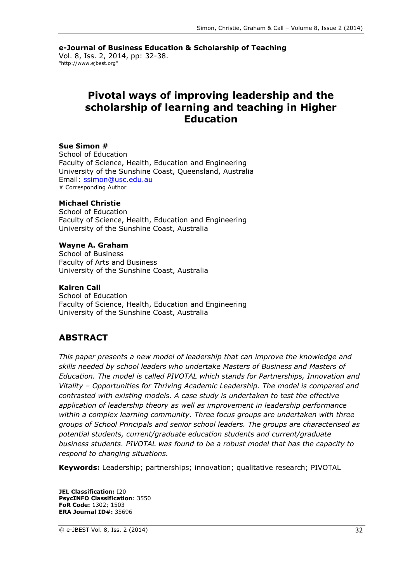**e-Journal of Business Education & Scholarship of Teaching** Vol. 8, Iss. 2, 2014, pp: 32-38. "http://www.ejbest.org"

# **Pivotal ways of improving leadership and the scholarship of learning and teaching in Higher Education**

#### **Sue Simon #**

School of Education Faculty of Science, Health, Education and Engineering University of the Sunshine Coast, Queensland, Australia Email: [ssimon@usc.edu.au](mailto:ssimon@usc.edu.au) # Corresponding Author

#### **Michael Christie**

School of Education Faculty of Science, Health, Education and Engineering University of the Sunshine Coast, Australia

#### **Wayne A. Graham**

School of Business Faculty of Arts and Business University of the Sunshine Coast, Australia

#### **Kairen Call**

School of Education Faculty of Science, Health, Education and Engineering University of the Sunshine Coast, Australia

### **ABSTRACT**

*This paper presents a new model of leadership that can improve the knowledge and skills needed by school leaders who undertake Masters of Business and Masters of Education. The model is called PIVOTAL which stands for Partnerships, Innovation and Vitality – Opportunities for Thriving Academic Leadership. The model is compared and contrasted with existing models. A case study is undertaken to test the effective application of leadership theory as well as improvement in leadership performance within a complex learning community. Three focus groups are undertaken with three groups of School Principals and senior school leaders. The groups are characterised as potential students, current/graduate education students and current/graduate business students. PIVOTAL was found to be a robust model that has the capacity to respond to changing situations.* 

**Keywords:** Leadership; partnerships; innovation; qualitative research; PIVOTAL

**JEL Classification:** I20 **PsycINFO Classification**: 3550 **FoR Code:** 1302; 1503 **ERA Journal ID#:** 35696

© e-JBEST Vol. 8, Iss. 2 (2014) 32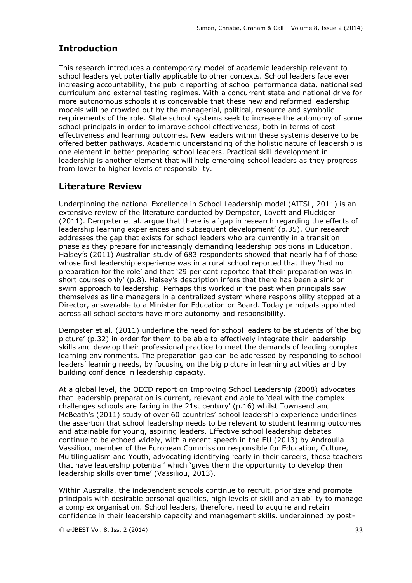# **Introduction**

This research introduces a contemporary model of academic leadership relevant to school leaders yet potentially applicable to other contexts. School leaders face ever increasing accountability, the public reporting of school performance data, nationalised curriculum and external testing regimes. With a concurrent state and national drive for more autonomous schools it is conceivable that these new and reformed leadership models will be crowded out by the managerial, political, resource and symbolic requirements of the role. State school systems seek to increase the autonomy of some school principals in order to improve school effectiveness, both in terms of cost effectiveness and learning outcomes. New leaders within these systems deserve to be offered better pathways. Academic understanding of the holistic nature of leadership is one element in better preparing school leaders. Practical skill development in leadership is another element that will help emerging school leaders as they progress from lower to higher levels of responsibility.

## **Literature Review**

Underpinning the national Excellence in School Leadership model (AITSL, 2011) is an extensive review of the literature conducted by Dempster, Lovett and Fluckiger (2011). Dempster et al. argue that there is a 'gap in research regarding the effects of leadership learning experiences and subsequent development' (p.35). Our research addresses the gap that exists for school leaders who are currently in a transition phase as they prepare for increasingly demanding leadership positions in Education. Halsey's (2011) Australian study of 683 respondents showed that nearly half of those whose first leadership experience was in a rural school reported that they 'had no preparation for the role' and that '29 per cent reported that their preparation was in short courses only' (p.8). Halsey's description infers that there has been a sink or swim approach to leadership. Perhaps this worked in the past when principals saw themselves as line managers in a centralized system where responsibility stopped at a Director, answerable to a Minister for Education or Board. Today principals appointed across all school sectors have more autonomy and responsibility.

Dempster et al. (2011) underline the need for school leaders to be students of 'the big picture' (p.32) in order for them to be able to effectively integrate their leadership skills and develop their professional practice to meet the demands of leading complex learning environments. The preparation gap can be addressed by responding to school leaders' learning needs, by focusing on the big picture in learning activities and by building confidence in leadership capacity.

At a global level, the OECD report on Improving School Leadership (2008) advocates that leadership preparation is current, relevant and able to 'deal with the complex challenges schools are facing in the 21st century' (p.16) whilst Townsend and McBeath's (2011) study of over 60 countries' school leadership experience underlines the assertion that school leadership needs to be relevant to student learning outcomes and attainable for young, aspiring leaders. Effective school leadership debates continue to be echoed widely, with a recent speech in the EU (2013) by Androulla Vassiliou, member of the European Commission responsible for Education, Culture, Multilingualism and Youth, advocating identifying 'early in their careers, those teachers that have leadership potential' which 'gives them the opportunity to develop their leadership skills over time' (Vassiliou, 2013).

Within Australia, the independent schools continue to recruit, prioritize and promote principals with desirable personal qualities, high levels of skill and an ability to manage a complex organisation. School leaders, therefore, need to acquire and retain confidence in their leadership capacity and management skills, underpinned by post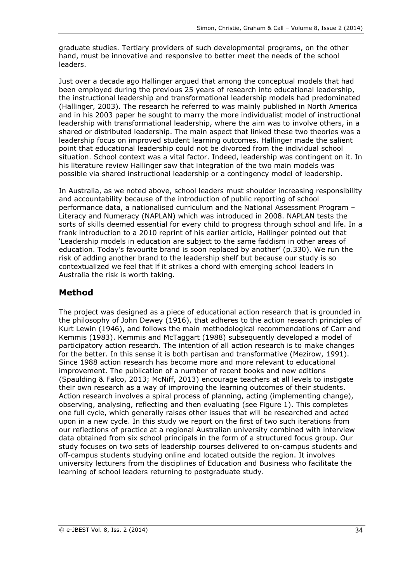graduate studies. Tertiary providers of such developmental programs, on the other hand, must be innovative and responsive to better meet the needs of the school leaders.

Just over a decade ago Hallinger argued that among the conceptual models that had been employed during the previous 25 years of research into educational leadership, the instructional leadership and transformational leadership models had predominated (Hallinger, 2003). The research he referred to was mainly published in North America and in his 2003 paper he sought to marry the more individualist model of instructional leadership with transformational leadership, where the aim was to involve others, in a shared or distributed leadership. The main aspect that linked these two theories was a leadership focus on improved student learning outcomes. Hallinger made the salient point that educational leadership could not be divorced from the individual school situation. School context was a vital factor. Indeed, leadership was contingent on it. In his literature review Hallinger saw that integration of the two main models was possible via shared instructional leadership or a contingency model of leadership.

In Australia, as we noted above, school leaders must shoulder increasing responsibility and accountability because of the introduction of public reporting of school performance data, a nationalised curriculum and the National Assessment Program – Literacy and Numeracy (NAPLAN) which was introduced in 2008. NAPLAN tests the sorts of skills deemed essential for every child to progress through school and life. In a frank introduction to a 2010 reprint of his earlier article, Hallinger pointed out that 'Leadership models in education are subject to the same faddism in other areas of education. Today's favourite brand is soon replaced by another' (p.330). We run the risk of adding another brand to the leadership shelf but because our study is so contextualized we feel that if it strikes a chord with emerging school leaders in Australia the risk is worth taking.

### **Method**

The project was designed as a piece of educational action research that is grounded in the philosophy of John Dewey (1916), that adheres to the action research principles of Kurt Lewin (1946), and follows the main methodological recommendations of Carr and Kemmis (1983). Kemmis and McTaggart (1988) subsequently developed a model of participatory action research. The intention of all action research is to make changes for the better. In this sense it is both partisan and transformative (Mezirow, 1991). Since 1988 action research has become more and more relevant to educational improvement. The publication of a number of recent books and new editions (Spaulding & Falco, 2013; McNiff, 2013) encourage teachers at all levels to instigate their own research as a way of improving the learning outcomes of their students. Action research involves a spiral process of planning, acting (implementing change), observing, analysing, reflecting and then evaluating (see Figure 1). This completes one full cycle, which generally raises other issues that will be researched and acted upon in a new cycle. In this study we report on the first of two such iterations from our reflections of practice at a regional Australian university combined with interview data obtained from six school principals in the form of a structured focus group. Our study focuses on two sets of leadership courses delivered to on-campus students and off-campus students studying online and located outside the region. It involves university lecturers from the disciplines of Education and Business who facilitate the learning of school leaders returning to postgraduate study.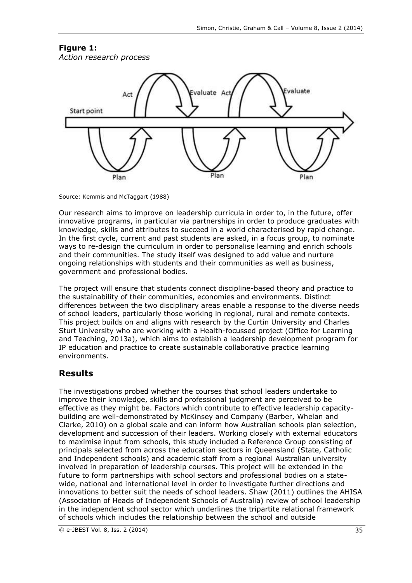# **Figure 1:**

*Action research process*



Source: Kemmis and McTaggart (1988)

Our research aims to improve on leadership curricula in order to, in the future, offer innovative programs, in particular via partnerships in order to produce graduates with knowledge, skills and attributes to succeed in a world characterised by rapid change. In the first cycle, current and past students are asked, in a focus group, to nominate ways to re-design the curriculum in order to personalise learning and enrich schools and their communities. The study itself was designed to add value and nurture ongoing relationships with students and their communities as well as business, government and professional bodies.

The project will ensure that students connect discipline-based theory and practice to the sustainability of their communities, economies and environments. Distinct differences between the two disciplinary areas enable a response to the diverse needs of school leaders, particularly those working in regional, rural and remote contexts. This project builds on and aligns with research by the Curtin University and Charles Sturt University who are working with a Health-focussed project (Office for Learning and Teaching, 2013a), which aims to establish a leadership development program for IP education and practice to create sustainable collaborative practice learning environments.

## **Results**

The investigations probed whether the courses that school leaders undertake to improve their knowledge, skills and professional judgment are perceived to be effective as they might be. Factors which contribute to effective leadership capacitybuilding are well-demonstrated by McKinsey and Company (Barber, Whelan and Clarke, 2010) on a global scale and can inform how Australian schools plan selection, development and succession of their leaders. Working closely with external educators to maximise input from schools, this study included a Reference Group consisting of principals selected from across the education sectors in Queensland (State, Catholic and Independent schools) and academic staff from a regional Australian university involved in preparation of leadership courses. This project will be extended in the future to form partnerships with school sectors and professional bodies on a statewide, national and international level in order to investigate further directions and innovations to better suit the needs of school leaders. Shaw (2011) outlines the AHISA (Association of Heads of Independent Schools of Australia) review of school leadership in the independent school sector which underlines the tripartite relational framework of schools which includes the relationship between the school and outside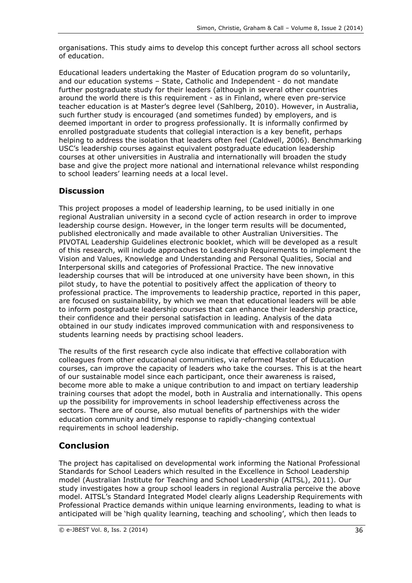organisations. This study aims to develop this concept further across all school sectors of education.

Educational leaders undertaking the Master of Education program do so voluntarily, and our education systems – State, Catholic and Independent - do not mandate further postgraduate study for their leaders (although in several other countries around the world there is this requirement - as in Finland, where even pre-service teacher education is at Master's degree level (Sahlberg, 2010). However, in Australia, such further study is encouraged (and sometimes funded) by employers, and is deemed important in order to progress professionally. It is informally confirmed by enrolled postgraduate students that collegial interaction is a key benefit, perhaps helping to address the isolation that leaders often feel (Caldwell, 2006). Benchmarking USC's leadership courses against equivalent postgraduate education leadership courses at other universities in Australia and internationally will broaden the study base and give the project more national and international relevance whilst responding to school leaders' learning needs at a local level.

### **Discussion**

This project proposes a model of leadership learning, to be used initially in one regional Australian university in a second cycle of action research in order to improve leadership course design. However, in the longer term results will be documented, published electronically and made available to other Australian Universities. The PIVOTAL Leadership Guidelines electronic booklet, which will be developed as a result of this research, will include approaches to Leadership Requirements to implement the Vision and Values, Knowledge and Understanding and Personal Qualities, Social and Interpersonal skills and categories of Professional Practice. The new innovative leadership courses that will be introduced at one university have been shown, in this pilot study, to have the potential to positively affect the application of theory to professional practice. The improvements to leadership practice, reported in this paper, are focused on sustainability, by which we mean that educational leaders will be able to inform postgraduate leadership courses that can enhance their leadership practice, their confidence and their personal satisfaction in leading. Analysis of the data obtained in our study indicates improved communication with and responsiveness to students learning needs by practising school leaders.

The results of the first research cycle also indicate that effective collaboration with colleagues from other educational communities, via reformed Master of Education courses, can improve the capacity of leaders who take the courses. This is at the heart of our sustainable model since each participant, once their awareness is raised, become more able to make a unique contribution to and impact on tertiary leadership training courses that adopt the model, both in Australia and internationally. This opens up the possibility for improvements in school leadership effectiveness across the sectors. There are of course, also mutual benefits of partnerships with the wider education community and timely response to rapidly-changing contextual requirements in school leadership.

## **Conclusion**

The project has capitalised on developmental work informing the National Professional Standards for School Leaders which resulted in the Excellence in School Leadership model (Australian Institute for Teaching and School Leadership (AITSL), 2011). Our study investigates how a group school leaders in regional Australia perceive the above model. AITSL's Standard Integrated Model clearly aligns Leadership Requirements with Professional Practice demands within unique learning environments, leading to what is anticipated will be 'high quality learning, teaching and schooling', which then leads to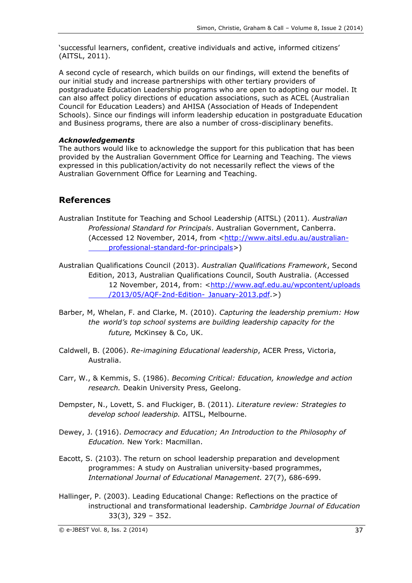'successful learners, confident, creative individuals and active, informed citizens' (AITSL, 2011).

A second cycle of research, which builds on our findings, will extend the benefits of our initial study and increase partnerships with other tertiary providers of postgraduate Education Leadership programs who are open to adopting our model. It can also affect policy directions of education associations, such as ACEL (Australian Council for Education Leaders) and AHISA (Association of Heads of Independent Schools). Since our findings will inform leadership education in postgraduate Education and Business programs, there are also a number of cross-disciplinary benefits.

### *Acknowledgements*

The authors would like to acknowledge the support for this publication that has been provided by the Australian Government Office for Learning and Teaching. The views expressed in this publication/activity do not necessarily reflect the views of the Australian Government Office for Learning and Teaching.

### **References**

Australian Institute for Teaching and School Leadership (AITSL) (2011)*. Australian Professional Standard for Principals*. Australian Government, Canberra. (Accessed 12 November, 2014, from [<http://www.aitsl.edu.au/australian](http://www.aitsl.edu.au/australian-%09professional-standard-for-principals)[professional-standard-for-principals>](http://www.aitsl.edu.au/australian-%09professional-standard-for-principals))

Australian Qualifications Council (2013). *Australian Qualifications Framework*, Second Edition, 2013, Australian Qualifications Council, South Australia. (Accessed 12 November, 2014, from: <http://www.aqf.edu.au/wpcontent/uploads [/2013/05/AQF-2nd-Edition-](http://www.aqf.edu.au/wpcontent/uploads%20%09/2013/05/AQF-2nd-Edition-%09January-2013.pdf) January-2013.pdf.>)

- Barber, M, Whelan, F. and Clarke, M. (2010). *Capturing the leadership premium: How the world's top school systems are building leadership capacity for the future,* McKinsey & Co, UK.
- Caldwell, B. (2006). *Re-imagining Educational leadership*, ACER Press, Victoria, Australia.
- Carr, W., & Kemmis, S. (1986). *Becoming Critical: Education, knowledge and action research.* Deakin University Press, Geelong.
- Dempster, N., Lovett, S. and Fluckiger, B. (2011). *Literature review: Strategies to develop school leadership.* AITSL, Melbourne.
- Dewey, J. (1916). *Democracy and Education; An Introduction to the Philosophy of Education.* New York: Macmillan.
- Eacott, S. (2103). The return on school leadership preparation and development programmes: A study on Australian university-based programmes, *International Journal of Educational Management.* 27(7), 686-699.
- Hallinger, P. (2003). Leading Educational Change: Reflections on the practice of instructional and transformational leadership. *Cambridge Journal of Education* 33(3), 329 – 352.